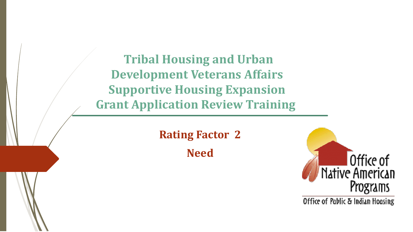**Tribal Housing and Urban Development Veterans Affairs Supportive Housing Expansion Grant Application Review Training**

> **Rating Factor 2 Need**



Office of Pablic & Indian Housing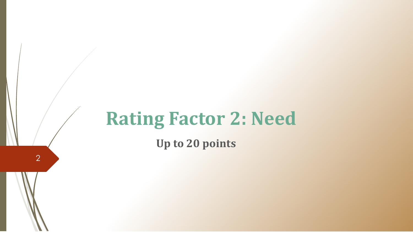# **Rating Factor 2: Need**

**Up to 20 points**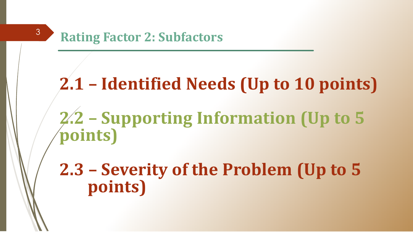### **Rating Factor 2: Subfactors**

# **2.1 – Identified Needs (Up to 10 points)**

**2.2 – Supporting Information (Up to 5 points)**

**2.3 – Severity of the Problem (Up to 5 points)**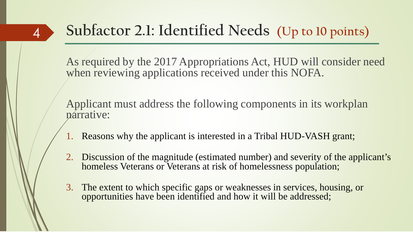### 4

## **Subfactor 2.1: Identified Needs (Up to 10 points)**

As required by the 2017 Appropriations Act, HUD will consider need when reviewing applications received under this NOFA.

Applicant must address the following components in its workplan narrative:

- 1. Reasons why the applicant is interested in a Tribal HUD-VASH grant;
- 2. Discussion of the magnitude (estimated number) and severity of the applicant's homeless Veterans or Veterans at risk of homelessness population;
- 3. The extent to which specific gaps or weaknesses in services, housing, or opportunities have been identified and how it will be addressed;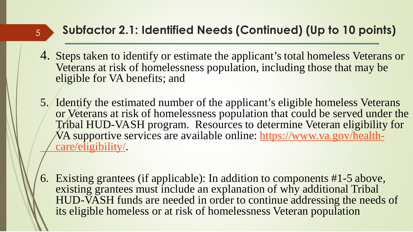### **Subfactor 2.1: Identified Needs (Continued) (Up to 10 points)**

- 4. Steps taken to identify or estimate the applicant's total homeless Veterans or Veterans at risk of homelessness population, including those that may be eligible for VA benefits; and
- 5. Identify the estimated number of the applicant's eligible homeless Veterans or Veterans at risk of homelessness population that could be served under the Tribal HUD-VASH program. Resources to determine Veteran eligibility for [VA supportive services are available online:](https://www.va.gov/health-care/eligibility/) https://www.va.gov/healthcare/eligibility/.
- 6. Existing grantees (if applicable): In addition to components #1-5 above, existing grantees must include an explanation of why additional Tribal HUD-VASH funds are needed in order to continue addressing the needs of its eligible homeless or at risk of homelessness Veteran population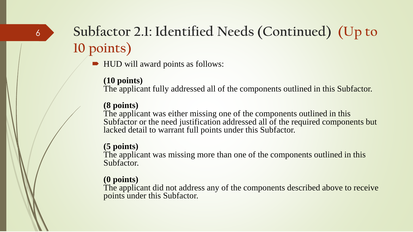### **Subfactor 2.1: Identified Needs (Continued) (Up to 10 points)**

■ HUD will award points as follows:

#### **(10 points)**

The applicant fully addressed all of the components outlined in this Subfactor.

#### **(8 points)**

The applicant was either missing one of the components outlined in this Subfactor or the need justification addressed all of the required components but lacked detail to warrant full points under this Subfactor.

#### **(5 points)**

The applicant was missing more than one of the components outlined in this Subfactor.

#### **(0 points)**

The applicant did not address any of the components described above to receive points under this Subfactor.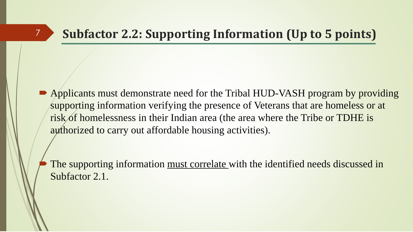• Applicants must demonstrate need for the Tribal HUD-VASH program by providing supporting information verifying the presence of Veterans that are homeless or at risk of homelessness in their Indian area (the area where the Tribe or TDHE is authorized to carry out affordable housing activities).

 The supporting information must correlate with the identified needs discussed in Subfactor 2.1.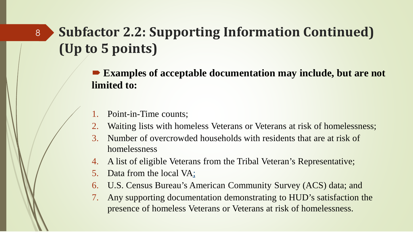### **Subfactor 2.2: Supporting Information Continued) (Up to 5 points)**

■ **Examples of acceptable documentation may include, but are not limited to:**

Point-in-Time counts;

- 2. Waiting lists with homeless Veterans or Veterans at risk of homelessness;
- 3. Number of overcrowded households with residents that are at risk of homelessness
- 4. A list of eligible Veterans from the Tribal Veteran's Representative;
- 5. Data from the local VA;
- 6. U.S. Census Bureau's American Community Survey (ACS) data; and
- 7. Any supporting documentation demonstrating to HUD's satisfaction the presence of homeless Veterans or Veterans at risk of homelessness.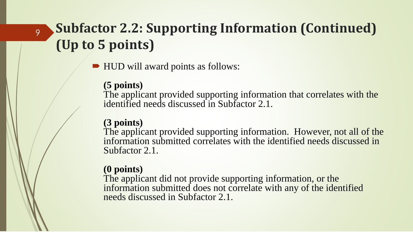### **Subfactor 2.2: Supporting Information (Continued) (Up to 5 points)**

**■ HUD will award points as follows:** 

#### **(5 points)**

9

The applicant provided supporting information that correlates with the identified needs discussed in Subfactor 2.1.

### **(3 points)**

The applicant provided supporting information. However, not all of the information submitted correlates with the identified needs discussed in Subfactor 2.1.

### **(0 points)**

The applicant did not provide supporting information, or the information submitted does not correlate with any of the identified needs discussed in Subfactor 2.1.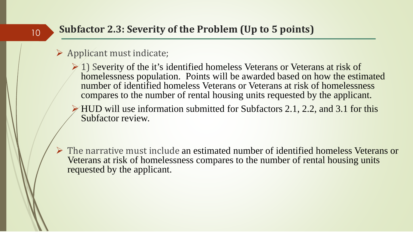### **Subfactor 2.3: Severity of the Problem (Up to 5 points)**

#### $\triangleright$  Applicant must indicate;

- $\geq 1$ ) Severity of the it's identified homeless Veterans or Veterans at risk of homelessness population. Points will be awarded based on how the estimated number of identified homeless Veterans or Veterans at risk of homelessness compares to the number of rental housing units requested by the applicant.
- $\triangleright$  HUD will use information submitted for Subfactors 2.1, 2.2, and 3.1 for this Subfactor review.
- The narrative must include an estimated number of identified homeless Veterans or Veterans at risk of homelessness compares to the number of rental housing units requested by the applicant.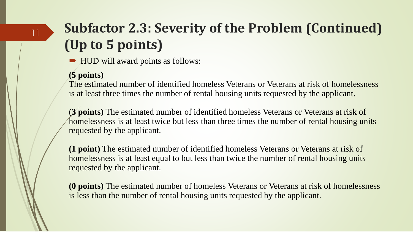### **Subfactor 2.3: Severity of the Problem (Continued) (Up to 5 points)**

■ HUD will award points as follows:

#### **(5 points)**

11

The estimated number of identified homeless Veterans or Veterans at risk of homelessness is at least three times the number of rental housing units requested by the applicant.

(**3 points)** The estimated number of identified homeless Veterans or Veterans at risk of homelessness is at least twice but less than three times the number of rental housing units requested by the applicant.

**(1 point)** The estimated number of identified homeless Veterans or Veterans at risk of homelessness is at least equal to but less than twice the number of rental housing units requested by the applicant.

**(0 points)** The estimated number of homeless Veterans or Veterans at risk of homelessness is less than the number of rental housing units requested by the applicant.